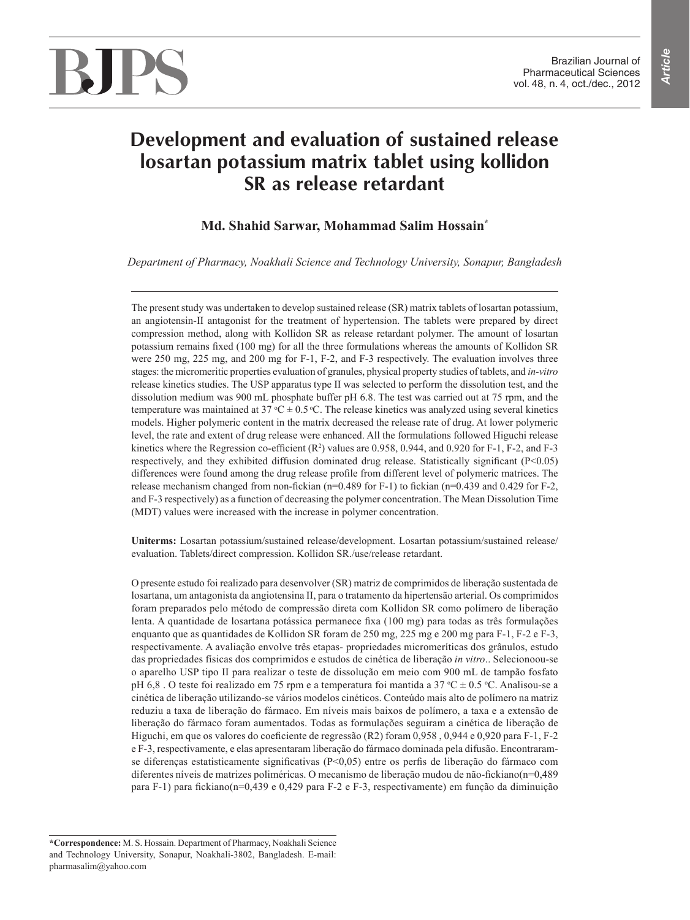*Article*

# **Development and evaluation of sustained release losartan potassium matrix tablet using kollidon SR as release retardant**

**Md. Shahid Sarwar, Mohammad Salim Hossain\***

*Department of Pharmacy, Noakhali Science and Technology University, Sonapur, Bangladesh*

The present study was undertaken to develop sustained release (SR) matrix tablets of losartan potassium, an angiotensin-II antagonist for the treatment of hypertension. The tablets were prepared by direct compression method, along with Kollidon SR as release retardant polymer. The amount of losartan potassium remains fixed (100 mg) for all the three formulations whereas the amounts of Kollidon SR were 250 mg, 225 mg, and 200 mg for F-1, F-2, and F-3 respectively. The evaluation involves three stages: the micromeritic properties evaluation of granules, physical property studies of tablets, and *in-vitro*  release kinetics studies. The USP apparatus type II was selected to perform the dissolution test, and the dissolution medium was 900 mL phosphate buffer pH 6.8. The test was carried out at 75 rpm, and the temperature was maintained at 37 °C  $\pm$  0.5 °C. The release kinetics was analyzed using several kinetics models. Higher polymeric content in the matrix decreased the release rate of drug. At lower polymeric level, the rate and extent of drug release were enhanced. All the formulations followed Higuchi release kinetics where the Regression co-efficient  $(R^2)$  values are 0.958, 0.944, and 0.920 for F-1, F-2, and F-3 respectively, and they exhibited diffusion dominated drug release. Statistically significant (P<0.05) differences were found among the drug release profile from different level of polymeric matrices. The release mechanism changed from non-fickian (n=0.489 for F-1) to fickian (n=0.439 and 0.429 for F-2, and F-3 respectively) as a function of decreasing the polymer concentration. The Mean Dissolution Time (MDT) values were increased with the increase in polymer concentration.

**Uniterms:** Losartan potassium/sustained release/development. Losartan potassium/sustained release/ evaluation. Tablets/direct compression. Kollidon SR./use/release retardant.

O presente estudo foi realizado para desenvolver (SR) matriz de comprimidos de liberação sustentada de losartana, um antagonista da angiotensina II, para o tratamento da hipertensão arterial. Os comprimidos foram preparados pelo método de compressão direta com Kollidon SR como polímero de liberação lenta. A quantidade de losartana potássica permanece fixa (100 mg) para todas as três formulações enquanto que as quantidades de Kollidon SR foram de 250 mg, 225 mg e 200 mg para F-1, F-2 e F-3, respectivamente. A avaliação envolve três etapas- propriedades micromeríticas dos grânulos, estudo das propriedades físicas dos comprimidos e estudos de cinética de liberação *in vitro*.. Selecionoou-se o aparelho USP tipo II para realizar o teste de dissolução em meio com 900 mL de tampão fosfato pH 6,8 . O teste foi realizado em 75 rpm e a temperatura foi mantida a 37 °C  $\pm$  0.5 °C. Analisou-se a cinética de liberação utilizando-se vários modelos cinéticos. Conteúdo mais alto de polímero na matriz reduziu a taxa de liberação do fármaco. Em níveis mais baixos de polímero, a taxa e a extensão de liberação do fármaco foram aumentados. Todas as formulações seguiram a cinética de liberação de Higuchi, em que os valores do coeficiente de regressão (R2) foram 0,958 , 0,944 e 0,920 para F-1, F-2 e F-3, respectivamente, e elas apresentaram liberação do fármaco dominada pela difusão. Encontraramse diferenças estatisticamente significativas (P<0,05) entre os perfis de liberação do fármaco com diferentes níveis de matrizes poliméricas. O mecanismo de liberação mudou de não-fickiano(n=0,489 para F-1) para fickiano(n=0,439 e 0,429 para F-2 e F-3, respectivamente) em função da diminuição

BJPS

**<sup>\*</sup>Correspondence:** M. S. Hossain. Department of Pharmacy, Noakhali Science and Technology University, Sonapur, Noakhali-3802, Bangladesh. E-mail: pharmasalim@yahoo.com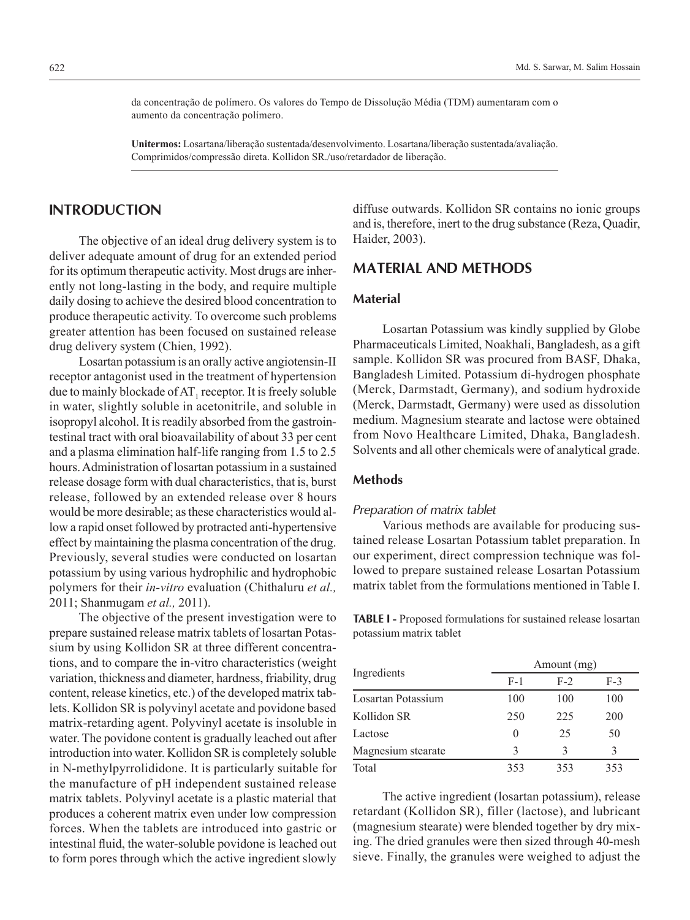da concentração de polímero. Os valores do Tempo de Dissolução Média (TDM) aumentaram com o aumento da concentração polímero.

**Unitermos:** Losartana/liberação sustentada/desenvolvimento. Losartana/liberação sustentada/avaliação. Comprimidos/compressão direta. Kollidon SR./uso/retardador de liberação.

## **INTRODUCTION**

The objective of an ideal drug delivery system is to deliver adequate amount of drug for an extended period for its optimum therapeutic activity. Most drugs are inherently not long-lasting in the body, and require multiple daily dosing to achieve the desired blood concentration to produce therapeutic activity. To overcome such problems greater attention has been focused on sustained release drug delivery system (Chien, 1992).

Losartan potassium is an orally active angiotensin-II receptor antagonist used in the treatment of hypertension due to mainly blockade of  $AT_1$  receptor. It is freely soluble in water, slightly soluble in acetonitrile, and soluble in isopropyl alcohol. It is readily absorbed from the gastrointestinal tract with oral bioavailability of about 33 per cent and a plasma elimination half-life ranging from 1.5 to 2.5 hours. Administration of losartan potassium in a sustained release dosage form with dual characteristics, that is, burst release, followed by an extended release over 8 hours would be more desirable; as these characteristics would allow a rapid onset followed by protracted anti-hypertensive effect by maintaining the plasma concentration of the drug. Previously, several studies were conducted on losartan potassium by using various hydrophilic and hydrophobic polymers for their *in-vitro* evaluation (Chithaluru *et al.,* 2011; Shanmugam *et al.,* 2011).

The objective of the present investigation were to prepare sustained release matrix tablets of losartan Potassium by using Kollidon SR at three different concentrations, and to compare the in-vitro characteristics (weight variation, thickness and diameter, hardness, friability, drug content, release kinetics, etc.) of the developed matrix tablets. Kollidon SR is polyvinyl acetate and povidone based matrix-retarding agent. Polyvinyl acetate is insoluble in water. The povidone content is gradually leached out after introduction into water. Kollidon SR is completely soluble in N-methylpyrrolididone. It is particularly suitable for the manufacture of pH independent sustained release matrix tablets. Polyvinyl acetate is a plastic material that produces a coherent matrix even under low compression forces. When the tablets are introduced into gastric or intestinal fluid, the water-soluble povidone is leached out to form pores through which the active ingredient slowly diffuse outwards. Kollidon SR contains no ionic groups and is, therefore, inert to the drug substance (Reza, Quadir, Haider, 2003).

# **MATERIAL AND METHODS**

#### **Material**

Losartan Potassium was kindly supplied by Globe Pharmaceuticals Limited, Noakhali, Bangladesh, as a gift sample. Kollidon SR was procured from BASF, Dhaka, Bangladesh Limited. Potassium di-hydrogen phosphate (Merck, Darmstadt, Germany), and sodium hydroxide (Merck, Darmstadt, Germany) were used as dissolution medium. Magnesium stearate and lactose were obtained from Novo Healthcare Limited, Dhaka, Bangladesh. Solvents and all other chemicals were of analytical grade.

#### **Methods**

#### *Preparation of matrix tablet*

Various methods are available for producing sustained release Losartan Potassium tablet preparation. In our experiment, direct compression technique was followed to prepare sustained release Losartan Potassium matrix tablet from the formulations mentioned in Table I.

**TABLE I -** Proposed formulations for sustained release losartan potassium matrix tablet

|                    | Amount (mg) |       |       |  |
|--------------------|-------------|-------|-------|--|
| Ingredients        | $F-1$       | $F-2$ | $F-3$ |  |
| Losartan Potassium | 100         | 100   | 100   |  |
| Kollidon SR        | 250         | 225   | 200   |  |
| Lactose            | $\Omega$    | 25    | 50    |  |
| Magnesium stearate | 3           | 3     | 3     |  |
| Total              | 353         | 353   | 353   |  |

The active ingredient (losartan potassium), release retardant (Kollidon SR), filler (lactose), and lubricant (magnesium stearate) were blended together by dry mixing. The dried granules were then sized through 40-mesh sieve. Finally, the granules were weighed to adjust the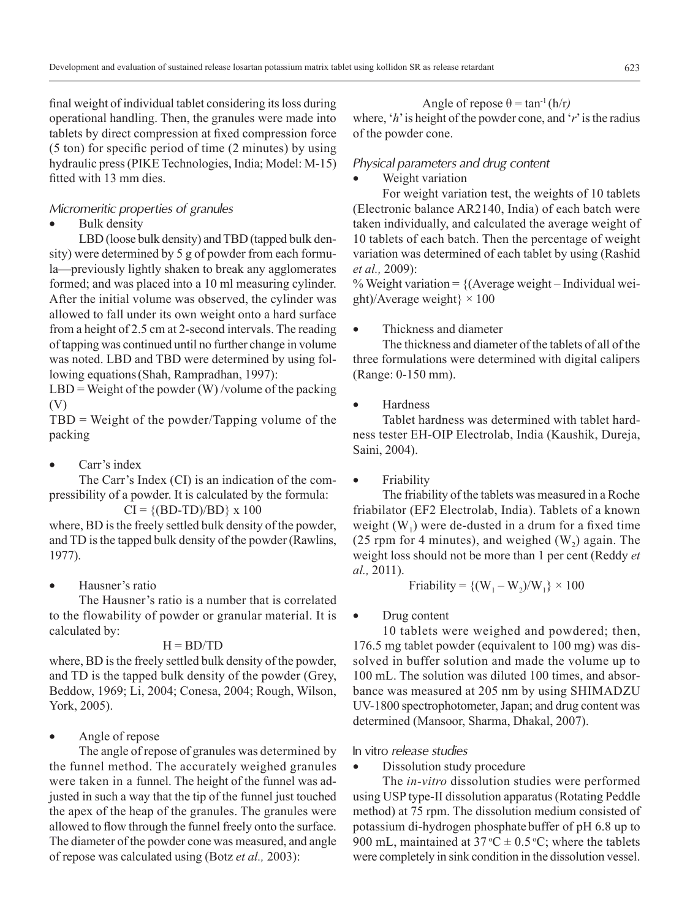final weight of individual tablet considering its loss during operational handling. Then, the granules were made into tablets by direct compression at fixed compression force (5 ton) for specific period of time (2 minutes) by using hydraulic press (PIKE Technologies, India; Model: M-15) fitted with 13 mm dies.

## *Micromeritic properties of granules*

• Bulk density

LBD (loose bulk density) and TBD (tapped bulk density) were determined by 5 g of powder from each formula—previously lightly shaken to break any agglomerates formed; and was placed into a 10 ml measuring cylinder. After the initial volume was observed, the cylinder was allowed to fall under its own weight onto a hard surface from a height of 2.5 cm at 2-second intervals. The reading of tapping was continued until no further change in volume was noted. LBD and TBD were determined by using following equations(Shah, Rampradhan, 1997):

 $LBD = Weight of the powder (W) /volume of the packing$ (V)

TBD = Weight of the powder/Tapping volume of the packing

• Carr's index

The Carr's Index (CI) is an indication of the compressibility of a powder. It is calculated by the formula:

$$
\overline{CI} = \{ (BD-TD)/BD \} \times 100
$$

where, BD is the freely settled bulk density of the powder, and TD is the tapped bulk density of the powder (Rawlins, 1977).

#### Hausner's ratio

The Hausner's ratio is a number that is correlated to the flowability of powder or granular material. It is calculated by:

#### $H = BD/TD$

where, BD is the freely settled bulk density of the powder, and TD is the tapped bulk density of the powder (Grey, Beddow, 1969; Li, 2004; Conesa, 2004; Rough, Wilson, York, 2005).

## Angle of repose

The angle of repose of granules was determined by the funnel method. The accurately weighed granules were taken in a funnel. The height of the funnel was adjusted in such a way that the tip of the funnel just touched the apex of the heap of the granules. The granules were allowed to flow through the funnel freely onto the surface. The diameter of the powder cone was measured, and angle of repose was calculated using (Botz *et al.,* 2003):

Angle of repose 
$$
\theta = \tan^{-1}(h/r)
$$

where, '*h*' is height of the powder cone, and '*r*' is the radius of the powder cone.

#### *Physical parameters and drug content*

Weight variation

For weight variation test, the weights of 10 tablets (Electronic balance AR2140, India) of each batch were taken individually, and calculated the average weight of 10 tablets of each batch. Then the percentage of weight variation was determined of each tablet by using (Rashid *et al.,* 2009):

% Weight variation =  ${$ {(Average weight – Individual wei ght)/Average weight $\} \times 100$ 

#### • Thickness and diameter

The thickness and diameter of the tablets of all of the three formulations were determined with digital calipers (Range: 0-150 mm).

## **Hardness**

Tablet hardness was determined with tablet hardness tester EH-OIP Electrolab, India (Kaushik, Dureja, Saini, 2004).

#### • Friability

The friability of the tablets was measured in a Roche friabilator (EF2 Electrolab, India). Tablets of a known weight  $(W_1)$  were de-dusted in a drum for a fixed time (25 rpm for 4 minutes), and weighed  $(W<sub>2</sub>)$  again. The weight loss should not be more than 1 per cent (Reddy *et al.,* 2011).

$$
Friability = \{ (W_1 - W_2)/W_1 \} \times 100
$$

## • Drug content

10 tablets were weighed and powdered; then, 176.5 mg tablet powder (equivalent to 100 mg) was dissolved in buffer solution and made the volume up to 100 mL. The solution was diluted 100 times, and absorbance was measured at 205 nm by using SHIMADZU UV-1800 spectrophotometer, Japan; and drug content was determined (Mansoor, Sharma, Dhakal, 2007).

#### In vitro *release studies*

• Dissolution study procedure

The *in-vitro* dissolution studies were performed using USP type-IΙ dissolution apparatus (Rotating Peddle method) at 75 rpm. The dissolution medium consisted of potassium di-hydrogen phosphate buffer of pH 6.8 up to 900 mL, maintained at  $37 \text{°C} \pm 0.5 \text{°C}$ ; where the tablets were completely in sink condition in the dissolution vessel.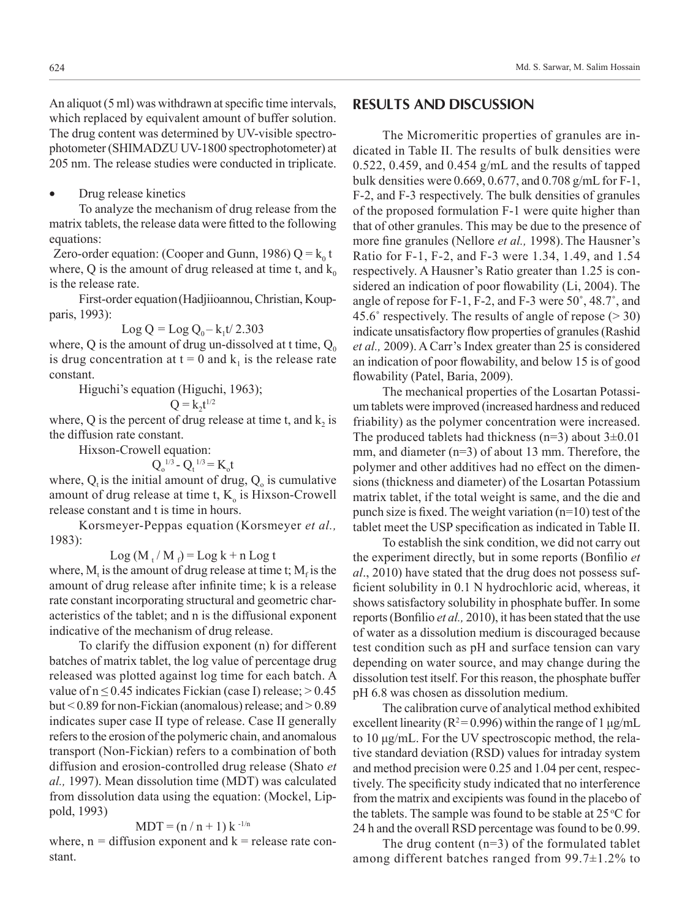## Drug release kinetics

To analyze the mechanism of drug release from the matrix tablets, the release data were fitted to the following equations:

Zero-order equation: (Cooper and Gunn, 1986)  $Q = k_0 t$ where, Q is the amount of drug released at time t, and  $k_0$ is the release rate.

First-order equation(Hadjiioannou, Christian, Koupparis, 1993):

$$
Log Q = Log Q_0 - k_1 t / 2.303
$$

where, Q is the amount of drug un-dissolved at t time,  $Q_0$ is drug concentration at  $t = 0$  and  $k_1$  is the release rate constant.

Higuchi's equation (Higuchi, 1963);

$$
Q = k_2 t^{1/2}
$$

where,  $Q$  is the percent of drug release at time t, and  $k<sub>2</sub>$  is the diffusion rate constant.

Hixson-Crowell equation:

 $Q_0^{-1/3}$  -  $Q_t^{-1/3}$  = K<sub>o</sub>t

where,  $Q_t$  is the initial amount of drug,  $Q_0$  is cumulative amount of drug release at time  $t$ ,  $K_0$  is Hixson-Crowell release constant and t is time in hours.

Korsmeyer-Peppas equation (Korsmeyer *et al.,*  1983):

Log (M<sub>t</sub>/M<sub>f</sub>) = Log k + n Log t

where,  $M_t$  is the amount of drug release at time t;  $M_f$  is the amount of drug release after infinite time; k is a release rate constant incorporating structural and geometric characteristics of the tablet; and n is the diffusional exponent indicative of the mechanism of drug release.

To clarify the diffusion exponent (n) for different batches of matrix tablet, the log value of percentage drug released was plotted against log time for each batch. A value of  $n \le 0.45$  indicates Fickian (case I) release;  $> 0.45$ but < 0.89 for non-Fickian (anomalous) release; and > 0.89 indicates super case II type of release. Case II generally refers to the erosion of the polymeric chain, and anomalous transport (Non-Fickian) refers to a combination of both diffusion and erosion-controlled drug release (Shato *et al.,* 1997). Mean dissolution time (MDT) was calculated from dissolution data using the equation: (Mockel, Lippold, 1993)

$$
MDT = (n / n + 1) k^{-1/n}
$$

where,  $n =$  diffusion exponent and  $k =$  release rate constant.

# **RESULTS AND DISCUSSION**

The Micromeritic properties of granules are indicated in Table II. The results of bulk densities were 0.522, 0.459, and 0.454 g/mL and the results of tapped bulk densities were 0.669, 0.677, and 0.708 g/mL for F-1, F-2, and F-3 respectively. The bulk densities of granules of the proposed formulation F-1 were quite higher than that of other granules. This may be due to the presence of more fine granules (Nellore *et al.*, 1998). The Hausner's Ratio for F-1, F-2, and F-3 were 1.34, 1.49, and 1.54 respectively. A Hausner's Ratio greater than 1.25 is considered an indication of poor flowability (Li, 2004). The angle of repose for F-1, F-2, and F-3 were 50˚, 48.7˚, and 45.6˚ respectively. The results of angle of repose (> 30) indicate unsatisfactory flow properties of granules (Rashid *et al.,* 2009). A Carr's Index greater than 25 is considered an indication of poor flowability, and below 15 is of good flowability (Patel, Baria, 2009).

The mechanical properties of the Losartan Potassium tablets were improved (increased hardness and reduced friability) as the polymer concentration were increased. The produced tablets had thickness ( $n=3$ ) about  $3\pm0.01$ mm, and diameter (n=3) of about 13 mm. Therefore, the polymer and other additives had no effect on the dimensions (thickness and diameter) of the Losartan Potassium matrix tablet, if the total weight is same, and the die and punch size is fixed. The weight variation (n=10) test of the tablet meet the USP specification as indicated in Table II.

To establish the sink condition, we did not carry out the experiment directly, but in some reports (Bonfilio *et al*., 2010) have stated that the drug does not possess sufficient solubility in 0.1 N hydrochloric acid, whereas, it shows satisfactory solubility in phosphate buffer. In some reports (Bonfilio *et al.,* 2010), it has been stated that the use of water as a dissolution medium is discouraged because test condition such as pH and surface tension can vary depending on water source, and may change during the dissolution test itself. For this reason, the phosphate buffer pH 6.8 was chosen as dissolution medium.

The calibration curve of analytical method exhibited excellent linearity ( $R^2$ = 0.996) within the range of 1  $\mu$ g/mL to 10 μg/mL. For the UV spectroscopic method, the relative standard deviation (RSD) values for intraday system and method precision were 0.25 and 1.04 per cent, respectively. The specificity study indicated that no interference from the matrix and excipients was found in the placebo of the tablets. The sample was found to be stable at  $25^{\circ}$ C for 24 h and the overall RSD percentage was found to be 0.99.

The drug content  $(n=3)$  of the formulated tablet among different batches ranged from 99.7±1.2% to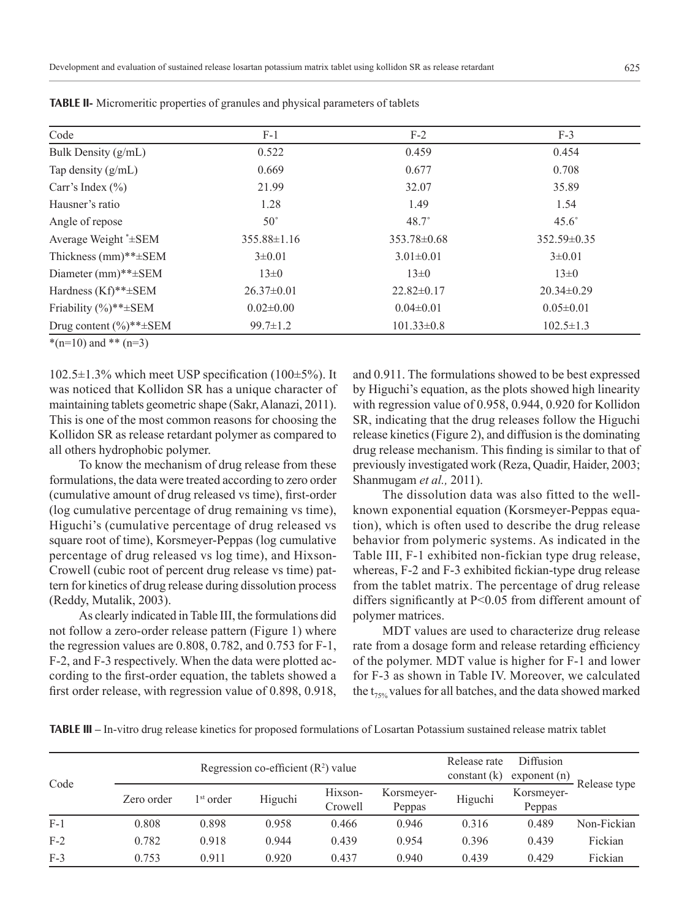| Code                               | $F-1$             | $F-2$             | $F-3$             |
|------------------------------------|-------------------|-------------------|-------------------|
| Bulk Density (g/mL)                | 0.522             | 0.459             | 0.454             |
| Tap density $(g/mL)$               | 0.669             | 0.677             | 0.708             |
| Carr's Index $(\% )$               | 21.99             | 32.07             | 35.89             |
| Hausner's ratio                    | 1.28              | 1.49              | 1.54              |
| Angle of repose                    | $50^{\circ}$      | $48.7^\circ$      | $45.6^\circ$      |
| Average Weight *±SEM               | $355.88 \pm 1.16$ | $353.78 \pm 0.68$ | $352.59 \pm 0.35$ |
| Thickness $(nm)** \pm SEM$         | $3\pm0.01$        | $3.01 \pm 0.01$   | $3 \pm 0.01$      |
| Diameter $(mm)^{**} \pm SEM$       | $13\pm0$          | $13\pm0$          | $13\pm0$          |
| Hardness $(Kf)$ ** $\pm$ SEM       | $26.37\pm0.01$    | $22.82 \pm 0.17$  | $20.34 \pm 0.29$  |
| Friability $(\%)^{**}$ $\pm$ SEM   | $0.02 \pm 0.00$   | $0.04 \pm 0.01$   | $0.05 \pm 0.01$   |
| Drug content $(\%)^{**}$ $\pm$ SEM | $99.7 \pm 1.2$    | $101.33 \pm 0.8$  | $102.5 \pm 1.3$   |

**TABLE II-** Micromeritic properties of granules and physical parameters of tablets

 $*(n=10)$  and  $**$  (n=3)

 $102.5\pm1.3\%$  which meet USP specification (100 $\pm$ 5%). It was noticed that Kollidon SR has a unique character of maintaining tablets geometric shape (Sakr, Alanazi, 2011). This is one of the most common reasons for choosing the Kollidon SR as release retardant polymer as compared to all others hydrophobic polymer.

To know the mechanism of drug release from these formulations, the data were treated according to zero order (cumulative amount of drug released vs time), first-order (log cumulative percentage of drug remaining vs time), Higuchi's (cumulative percentage of drug released vs square root of time), Korsmeyer-Peppas (log cumulative percentage of drug released vs log time), and Hixson-Crowell (cubic root of percent drug release vs time) pattern for kinetics of drug release during dissolution process (Reddy, Mutalik, 2003).

As clearly indicated in Table III, the formulations did not follow a zero-order release pattern (Figure 1) where the regression values are 0.808, 0.782, and 0.753 for F-1, F-2, and F-3 respectively. When the data were plotted according to the first-order equation, the tablets showed a first order release, with regression value of 0.898, 0.918,

and 0.911. The formulations showed to be best expressed by Higuchi's equation, as the plots showed high linearity with regression value of 0.958, 0.944, 0.920 for Kollidon SR, indicating that the drug releases follow the Higuchi release kinetics (Figure 2), and diffusion is the dominating drug release mechanism. This finding is similar to that of previously investigated work (Reza, Quadir, Haider, 2003; Shanmugam *et al.,* 2011).

The dissolution data was also fitted to the wellknown exponential equation (Korsmeyer-Peppas equation), which is often used to describe the drug release behavior from polymeric systems. As indicated in the Table III, F-1 exhibited non-fickian type drug release, whereas, F-2 and F-3 exhibited fickian-type drug release from the tablet matrix. The percentage of drug release differs significantly at P<0.05 from different amount of polymer matrices.

MDT values are used to characterize drug release rate from a dosage form and release retarding efficiency of the polymer. MDT value is higher for F-1 and lower for F-3 as shown in Table IV. Moreover, we calculated the  $t_{75%}$  values for all batches, and the data showed marked

| Code  |            | Regression co-efficient $(R^2)$ value |         |                    |                      |         | <b>Diffusion</b><br>exponent(n) |                |
|-------|------------|---------------------------------------|---------|--------------------|----------------------|---------|---------------------------------|----------------|
|       | Zero order | 1 <sup>st</sup> order                 | Higuchi | Hixson-<br>Crowell | Korsmeyer-<br>Peppas | Higuchi | Korsmeyer-<br>Peppas            | - Release type |
| $F-1$ | 0.808      | 0.898                                 | 0.958   | 0.466              | 0.946                | 0.316   | 0.489                           | Non-Fickian    |
| $F-2$ | 0.782      | 0.918                                 | 0.944   | 0.439              | 0.954                | 0.396   | 0.439                           | Fickian        |
| $F-3$ | 0.753      | 0.911                                 | 0.920   | 0.437              | 0.940                | 0.439   | 0.429                           | Fickian        |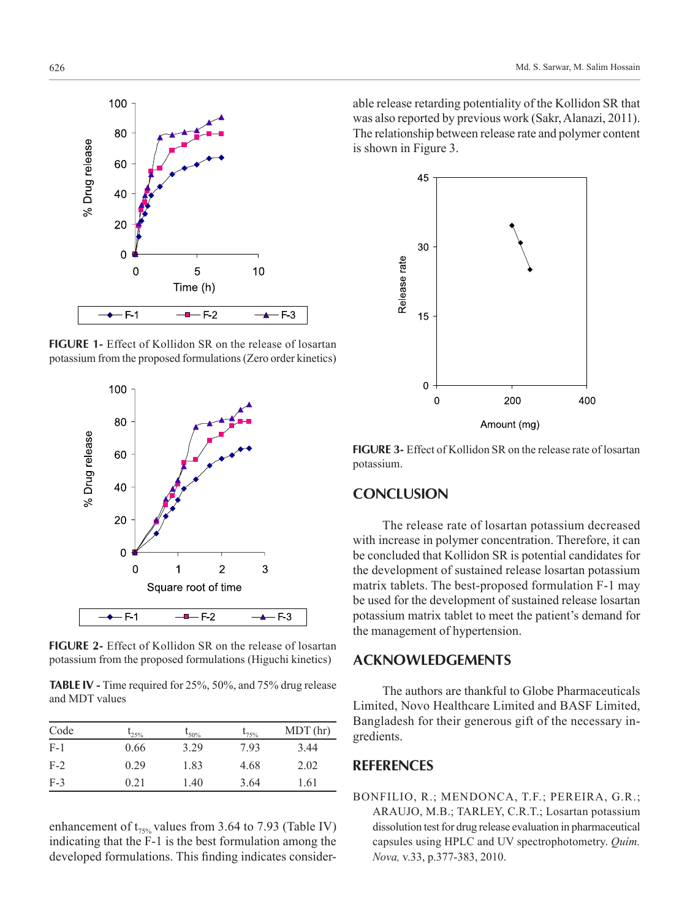

**FIGURE 1-** Effect of Kollidon SR on the release of losartan potassium from the proposed formulations (Zero order kinetics)



**FIGURE 2-** Effect of Kollidon SR on the release of losartan potassium from the proposed formulations (Higuchi kinetics)

**TABLE IV** - Time required for 25%, 50%, and 75% drug release and MDT values

| Code  | $L_{25\%}$ | $\iota_{50\%}$ | ${\rm U}_{75\%}$ | $MDT$ (hr) |
|-------|------------|----------------|------------------|------------|
| $F-1$ | 0.66       | 3.29           | 7.93             | 3.44       |
| $F-2$ | 0.29       | 1.83           | 4.68             | 2.02       |
| $F-3$ | 0.21       | 1.40           | 3.64             | 1.61       |

enhancement of  $t_{75\%}$  values from 3.64 to 7.93 (Table IV) indicating that the F-1 is the best formulation among the developed formulations. This finding indicates consider-

able release retarding potentiality of the Kollidon SR that was also reported by previous work (Sakr, Alanazi, 2011). The relationship between release rate and polymer content is shown in Figure 3.



**FIGURE 3-** Effect of Kollidon SR on the release rate of losartan potassium.

# **CONCLUSION**

The release rate of losartan potassium decreased with increase in polymer concentration. Therefore, it can be concluded that Kollidon SR is potential candidates for the development of sustained release losartan potassium matrix tablets. The best-proposed formulation F-1 may be used for the development of sustained release losartan potassium matrix tablet to meet the patient's demand for the management of hypertension.

# **ACKNOWLEDGEMENTS**

The authors are thankful to Globe Pharmaceuticals Limited, Novo Healthcare Limited and BASF Limited, Bangladesh for their generous gift of the necessary ingredients.

# **REFERENCES**

BONFILIO, R.; MENDONCA, T.F.; PEREIRA, G.R.; ARAUJO, M.B.; TARLEY, C.R.T.; Losartan potassium dissolution test for drug release evaluation in pharmaceutical capsules using HPLC and UV spectrophotometry. *Quím. Nova,* v.33, p.377-383, 2010.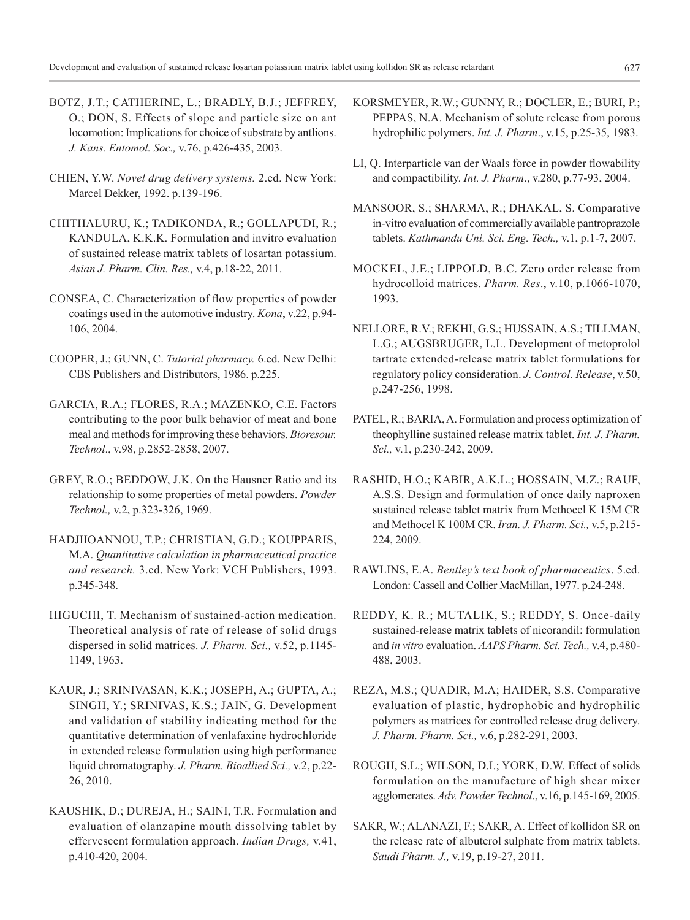- BOTZ, J.T.; CATHERINE, L.; BRADLY, B.J.; JEFFREY, O.; DON, S. Effects of slope and particle size on ant locomotion: Implications for choice of substrate by antlions. *J. Kans. Entomol. Soc.,* v.76, p.426-435, 2003.
- CHIEN, Y.W. *Novel drug delivery systems.* 2.ed. New York: Marcel Dekker, 1992. p.139-196.
- CHITHALURU, K.; TADIKONDA, R.; GOLLAPUDI, R.; KANDULA, K.K.K. Formulation and invitro evaluation of sustained release matrix tablets of losartan potassium. *Asian J. Pharm. Clin. Res.,* v.4, p.18-22, 2011.
- CONSEA, C. Characterization of flow properties of powder coatings used in the automotive industry. *Kona*, v.22, p.94- 106, 2004.
- COOPER, J.; GUNN, C. *Tutorial pharmacy.* 6.ed. New Delhi: CBS Publishers and Distributors, 1986. p.225.
- GARCIA, R.A.; FLORES, R.A.; MAZENKO, C.E. Factors contributing to the poor bulk behavior of meat and bone meal and methods for improving these behaviors. *Bioresour. Technol*., v.98, p.2852-2858, 2007.
- GREY, R.O.; BEDDOW, J.K. On the Hausner Ratio and its relationship to some properties of metal powders. *Powder Technol.,* v.2, p.323-326, 1969.
- HADJIIOANNOU, T.P.; CHRISTIAN, G.D.; KOUPPARIS, M.A. *Quantitative calculation in pharmaceutical practice and research.* 3.ed. New York: VCH Publishers, 1993. p.345-348.
- HIGUCHI, T. Mechanism of sustained-action medication. Theoretical analysis of rate of release of solid drugs dispersed in solid matrices. *J. Pharm. Sci.,* v.52, p.1145- 1149, 1963.
- KAUR, J.; SRINIVASAN, K.K.; JOSEPH, A.; GUPTA, A.; SINGH, Y.; SRINIVAS, K.S.; JAIN, G. Development and validation of stability indicating method for the quantitative determination of venlafaxine hydrochloride in extended release formulation using high performance liquid chromatography. *J. Pharm. Bioallied Sci.,* v.2, p.22- 26, 2010.
- KAUSHIK, D.; DUREJA, H.; SAINI, T.R. Formulation and evaluation of olanzapine mouth dissolving tablet by effervescent formulation approach. *Indian Drugs,* v.41, p.410-420, 2004.
- KORSMEYER, R.W.; GUNNY, R.; DOCLER, E.; BURI, P.; PEPPAS, N.A. Mechanism of solute release from porous hydrophilic polymers. *Int. J. Pharm*., v.15, p.25-35, 1983.
- LI, Q. Interparticle van der Waals force in powder flowability and compactibility. *Int. J. Pharm*., v.280, p.77-93, 2004.
- MANSOOR, S.; SHARMA, R.; DHAKAL, S. Comparative in-vitro evaluation of commercially available pantroprazole tablets. *Kathmandu Uni. Sci. Eng. Tech.,* v.1, p.1-7, 2007.
- MOCKEL, J.E.; LIPPOLD, B.C. Zero order release from hydrocolloid matrices. *Pharm. Res*., v.10, p.1066-1070, 1993.
- NELLORE, R.V.; REKHI, G.S.; HUSSAIN, A.S.; TILLMAN, L.G.; AUGSBRUGER, L.L. Development of metoprolol tartrate extended-release matrix tablet formulations for regulatory policy consideration. *J. Control. Release*, v.50, p.247-256, 1998.
- PATEL, R.; BARIA, A. Formulation and process optimization of theophylline sustained release matrix tablet. *Int. J. Pharm. Sci.,* v.1, p.230-242, 2009.
- RASHID, H.O.; KABIR, A.K.L.; HOSSAIN, M.Z.; RAUF, A.S.S. Design and formulation of once daily naproxen sustained release tablet matrix from Methocel K 15M CR and Methocel K 100M CR. *Iran. J. Pharm. Sci.,* v.5, p.215- 224, 2009.
- RAWLINS, E.A. *Bentley's text book of pharmaceutics*. 5.ed. London: Cassell and Collier MacMillan, 1977. p.24-248.
- REDDY, K. R.; MUTALIK, S.; REDDY, S. Once-daily sustained-release matrix tablets of nicorandil: formulation and *in vitro* evaluation. *AAPS Pharm. Sci. Tech.,* v.4, p.480- 488, 2003.
- REZA, M.S.; QUADIR, M.A; HAIDER, S.S. Comparative evaluation of plastic, hydrophobic and hydrophilic polymers as matrices for controlled release drug delivery. *J. Pharm. Pharm. Sci.,* v.6, p.282-291, 2003.
- ROUGH, S.L.; WILSON, D.I.; YORK, D.W. Effect of solids formulation on the manufacture of high shear mixer agglomerates. *Adv. Powder Technol*., v.16, p.145-169, 2005.
- SAKR, W.; ALANAZI, F.; SAKR, A. Effect of kollidon SR on the release rate of albuterol sulphate from matrix tablets. *Saudi Pharm. J.,* v.19, p.19-27, 2011.